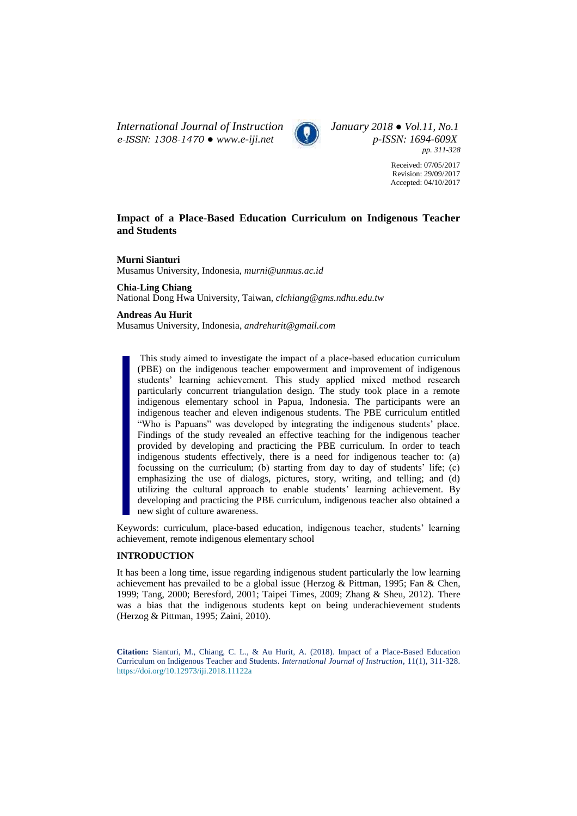*International Journal of Instruction January 2018 ● Vol.11, No.1 e-ISSN: 1308-1470 ● [www.e-iji.net](http://www.e-iji.net/) p-ISSN: 1694-609X*



*pp. 311-328*

Received: 07/05/2017 Revision: 29/09/2017 Accepted: 04/10/2017

# **Impact of a Place-Based Education Curriculum on Indigenous Teacher and Students**

**Murni Sianturi**

Musamus University, Indonesia, *murni@unmus.ac.id*

**Chia-Ling Chiang** 

National Dong Hwa University, Taiwan, *clchiang@gms.ndhu.edu.tw*

## **Andreas Au Hurit**

Musamus University, Indonesia, *andrehurit@gmail.com*

This study aimed to investigate the impact of a place-based education curriculum (PBE) on the indigenous teacher empowerment and improvement of indigenous students' learning achievement. This study applied mixed method research particularly concurrent triangulation design. The study took place in a remote indigenous elementary school in Papua, Indonesia. The participants were an indigenous teacher and eleven indigenous students. The PBE curriculum entitled "Who is Papuans" was developed by integrating the indigenous students' place. Findings of the study revealed an effective teaching for the indigenous teacher provided by developing and practicing the PBE curriculum. In order to teach indigenous students effectively, there is a need for indigenous teacher to: (a) focussing on the curriculum; (b) starting from day to day of students' life; (c) emphasizing the use of dialogs, pictures, story, writing, and telling; and (d) utilizing the cultural approach to enable students' learning achievement. By developing and practicing the PBE curriculum, indigenous teacher also obtained a new sight of culture awareness.

Keywords: curriculum, place-based education, indigenous teacher, students' learning achievement, remote indigenous elementary school

## **INTRODUCTION**

It has been a long time, issue regarding indigenous student particularly the low learning achievement has prevailed to be a global issue (Herzog & Pittman, 1995; Fan & Chen, 1999; Tang, 2000; Beresford, 2001; Taipei Times, 2009; Zhang & Sheu, 2012). There was a bias that the indigenous students kept on being underachievement students (Herzog & Pittman, 1995; Zaini, 2010).

**Citation:** Sianturi, M., Chiang, C. L., & Au Hurit, A. (2018). Impact of a Place-Based Education Curriculum on Indigenous Teacher and Students. *International Journal of Instruction*, 11(1), 311-328. <https://doi.org/10.12973/iji.2018.11122a>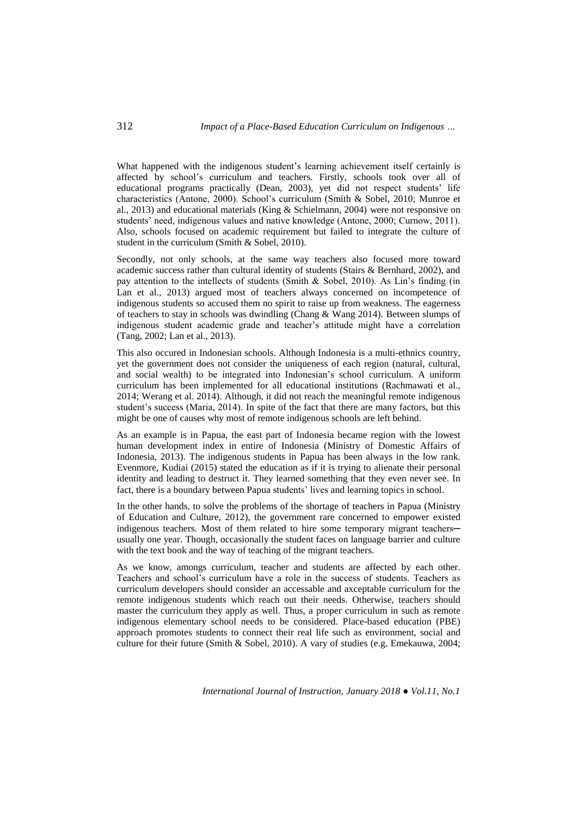What happened with the indigenous student's learning achievement itself certainly is affected by school's curriculum and teachers. Firstly, schools took over all of educational programs practically (Dean, 2003), yet did not respect students' life characteristics (Antone, 2000). School's curriculum (Smith & Sobel, 2010; Munroe et al., 2013) and educational materials (King & Schielmann, 2004) were not responsive on students' need, indigenous values and native knowledge (Antone, 2000; Curnow, 2011). Also, schools focused on academic requirement but failed to integrate the culture of student in the curriculum (Smith & Sobel, 2010).

Secondly, not only schools, at the same way teachers also focused more toward academic success rather than cultural identity of students (Stairs & Bernhard, 2002), and pay attention to the intellects of students (Smith & Sobel, 2010). As Lin's finding (in Lan et al., 2013) argued most of teachers always concerned on incompetence of indigenous students so accused them no spirit to raise up from weakness. The eagerness of teachers to stay in schools was dwindling (Chang  $&$  Wang 2014). Between slumps of indigenous student academic grade and teacher's attitude might have a correlation (Tang, 2002; Lan et al., 2013).

This also occured in Indonesian schools. Although Indonesia is a multi-ethnics country, yet the government does not consider the uniqueness of each region (natural, cultural, and social wealth) to be integrated into Indonesian's school curriculum. A uniform curriculum has been implemented for all educational institutions (Rachmawati et al., 2014; Werang et al. 2014). Although, it did not reach the meaningful remote indigenous student's success (Maria, 2014). In spite of the fact that there are many factors, but this might be one of causes why most of remote indigenous schools are left behind.

As an example is in Papua, the east part of Indonesia became region with the lowest human development index in entire of Indonesia (Ministry of Domestic Affairs of Indonesia, 2013). The indigenous students in Papua has been always in the low rank. Evenmore, Kudiai (2015) stated the education as if it is trying to alienate their personal identity and leading to destruct it. They learned something that they even never see. In fact, there is a boundary between Papua students' lives and learning topics in school.

In the other hands, to solve the problems of the shortage of teachers in Papua (Ministry of Education and Culture, 2012), the government rare concerned to empower existed indigenous teachers. Most of them related to hire some temporary migrant teachers usually one year. Though, occasionally the student faces on language barrier and culture with the text book and the way of teaching of the migrant teachers.

As we know, amongs curriculum, teacher and students are affected by each other. Teachers and school's curriculum have a role in the success of students. Teachers as curriculum developers should consider an accessable and axceptable curriculum for the remote indigenous students which reach out their needs. Otherwise, teachers should master the curriculum they apply as well. Thus, a proper curriculum in such as remote indigenous elementary school needs to be considered. Place-based education (PBE) approach promotes students to connect their real life such as environment, social and culture for their future (Smith & Sobel, 2010). A vary of studies (e.g. Emekauwa, 2004;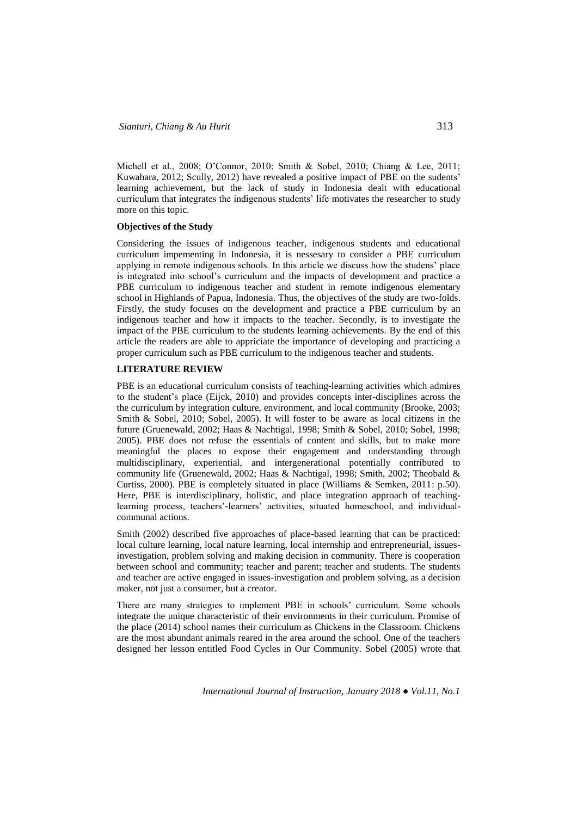Michell et al., 2008; O'Connor, 2010; Smith & Sobel, 2010; Chiang & Lee, 2011; Kuwahara, 2012; Scully, 2012) have revealed a positive impact of PBE on the sudents' learning achievement, but the lack of study in Indonesia dealt with educational curriculum that integrates the indigenous students' life motivates the researcher to study more on this topic.

#### **Objectives of the Study**

Considering the issues of indigenous teacher, indigenous students and educational curriculum impementing in Indonesia, it is nessesary to consider a PBE curriculum applying in remote indigenous schools. In this article we discuss how the studens' place is integrated into school's curriculum and the impacts of development and practice a PBE curriculum to indigenous teacher and student in remote indigenous elementary school in Highlands of Papua, Indonesia. Thus, the objectives of the study are two-folds. Firstly, the study focuses on the development and practice a PBE curriculum by an indigenous teacher and how it impacts to the teacher. Secondly, is to investigate the impact of the PBE curriculum to the students learning achievements. By the end of this article the readers are able to appriciate the importance of developing and practicing a proper curriculum such as PBE curriculum to the indigenous teacher and students.

### **LITERATURE REVIEW**

PBE is an educational curriculum consists of teaching-learning activities which admires to the student's place (Eijck, 2010) and provides concepts inter-disciplines across the the curriculum by integration culture, environment, and local community (Brooke, 2003; Smith & Sobel, 2010; Sobel, 2005). It will foster to be aware as local citizens in the future (Gruenewald, 2002; Haas & Nachtigal, 1998; Smith & Sobel, 2010; Sobel, 1998; 2005). PBE does not refuse the essentials of content and skills, but to make more meaningful the places to expose their engagement and understanding through multidisciplinary, experiential, and intergenerational potentially contributed to community life (Gruenewald, 2002; Haas & Nachtigal, 1998; Smith, 2002; Theobald & Curtiss, 2000). PBE is completely situated in place (Williams & Semken, 2011: p.50). Here, PBE is interdisciplinary, holistic, and place integration approach of teachinglearning process, teachers'-learners' activities, situated homeschool, and individualcommunal actions.

Smith (2002) described five approaches of place-based learning that can be practiced: local culture learning, local nature learning, local internship and entrepreneurial, issuesinvestigation, problem solving and making decision in community. There is cooperation between school and community; teacher and parent; teacher and students. The students and teacher are active engaged in issues-investigation and problem solving, as a decision maker, not just a consumer, but a creator.

There are many strategies to implement PBE in schools' curriculum. Some schools integrate the unique characteristic of their environments in their curriculum. Promise of the place (2014) school names their curriculum as Chickens in the Classroom. Chickens are the most abundant animals reared in the area around the school. One of the teachers designed her lesson entitled Food Cycles in Our Community. Sobel (2005) wrote that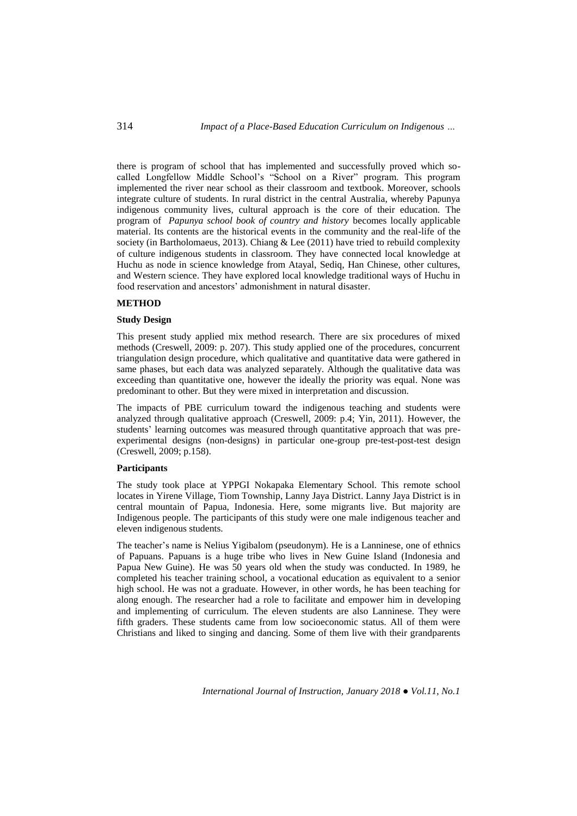there is program of school that has implemented and successfully proved which socalled Longfellow Middle School's "School on a River" program. This program implemented the river near school as their classroom and textbook. Moreover, schools integrate culture of students. In rural district in the central Australia, whereby Papunya indigenous community lives, cultural approach is the core of their education. The program of *Papunya school book of country and history* becomes locally applicable material. Its contents are the historical events in the community and the real-life of the society (in Bartholomaeus, 2013). Chiang & Lee (2011) have tried to rebuild complexity of culture indigenous students in classroom. They have connected local knowledge at Huchu as node in science knowledge from Atayal, Sediq, Han Chinese, other cultures, and Western science. They have explored local knowledge traditional ways of Huchu in food reservation and ancestors' admonishment in natural disaster.

## **METHOD**

#### **Study Design**

This present study applied mix method research. There are six procedures of mixed methods (Creswell, 2009: p. 207). This study applied one of the procedures, concurrent triangulation design procedure, which qualitative and quantitative data were gathered in same phases, but each data was analyzed separately. Although the qualitative data was exceeding than quantitative one, however the ideally the priority was equal. None was predominant to other. But they were mixed in interpretation and discussion.

The impacts of PBE curriculum toward the indigenous teaching and students were analyzed through qualitative approach (Creswell, 2009: p.4; Yin, 2011). However, the students' learning outcomes was measured through quantitative approach that was preexperimental designs (non-designs) in particular one-group pre-test-post-test design (Creswell, 2009; p.158).

## **Participants**

The study took place at YPPGI Nokapaka Elementary School. This remote school locates in Yirene Village, Tiom Township, Lanny Jaya District. Lanny Jaya District is in central mountain of Papua, Indonesia. Here, some migrants live. But majority are Indigenous people. The participants of this study were one male indigenous teacher and eleven indigenous students.

The teacher's name is Nelius Yigibalom (pseudonym). He is a Lanninese, one of ethnics of Papuans. Papuans is a huge tribe who lives in New Guine Island (Indonesia and Papua New Guine). He was 50 years old when the study was conducted. In 1989, he completed his teacher training school, a vocational education as equivalent to a senior high school. He was not a graduate. However, in other words, he has been teaching for along enough. The researcher had a role to facilitate and empower him in developing and implementing of curriculum. The eleven students are also Lanninese. They were fifth graders. These students came from low socioeconomic status. All of them were Christians and liked to singing and dancing. Some of them live with their grandparents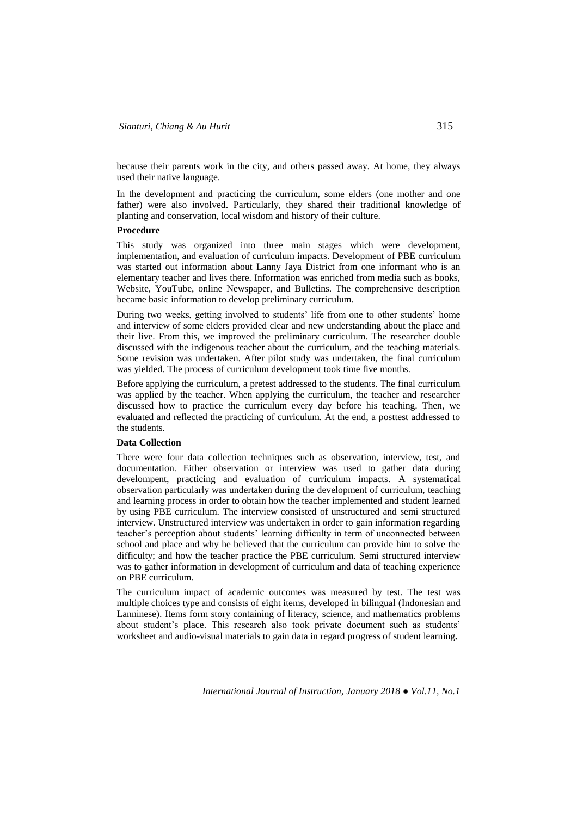because their parents work in the city, and others passed away. At home, they always used their native language.

In the development and practicing the curriculum, some elders (one mother and one father) were also involved. Particularly, they shared their traditional knowledge of planting and conservation, local wisdom and history of their culture.

### **Procedure**

This study was organized into three main stages which were development, implementation, and evaluation of curriculum impacts. Development of PBE curriculum was started out information about Lanny Jaya District from one informant who is an elementary teacher and lives there. Information was enriched from media such as books, Website, YouTube, online Newspaper, and Bulletins. The comprehensive description became basic information to develop preliminary curriculum.

During two weeks, getting involved to students' life from one to other students' home and interview of some elders provided clear and new understanding about the place and their live. From this, we improved the preliminary curriculum. The researcher double discussed with the indigenous teacher about the curriculum, and the teaching materials. Some revision was undertaken. After pilot study was undertaken, the final curriculum was yielded. The process of curriculum development took time five months.

Before applying the curriculum, a pretest addressed to the students. The final curriculum was applied by the teacher. When applying the curriculum, the teacher and researcher discussed how to practice the curriculum every day before his teaching. Then, we evaluated and reflected the practicing of curriculum. At the end, a posttest addressed to the students.

## **Data Collection**

There were four data collection techniques such as observation, interview, test, and documentation. Either observation or interview was used to gather data during develompent, practicing and evaluation of curriculum impacts. A systematical observation particularly was undertaken during the development of curriculum, teaching and learning process in order to obtain how the teacher implemented and student learned by using PBE curriculum. The interview consisted of unstructured and semi structured interview. Unstructured interview was undertaken in order to gain information regarding teacher's perception about students' learning difficulty in term of unconnected between school and place and why he believed that the curriculum can provide him to solve the difficulty; and how the teacher practice the PBE curriculum. Semi structured interview was to gather information in development of curriculum and data of teaching experience on PBE curriculum.

The curriculum impact of academic outcomes was measured by test. The test was multiple choices type and consists of eight items, developed in bilingual (Indonesian and Lanninese). Items form story containing of literacy, science, and mathematics problems about student's place. This research also took private document such as students' worksheet and audio-visual materials to gain data in regard progress of student learning**.**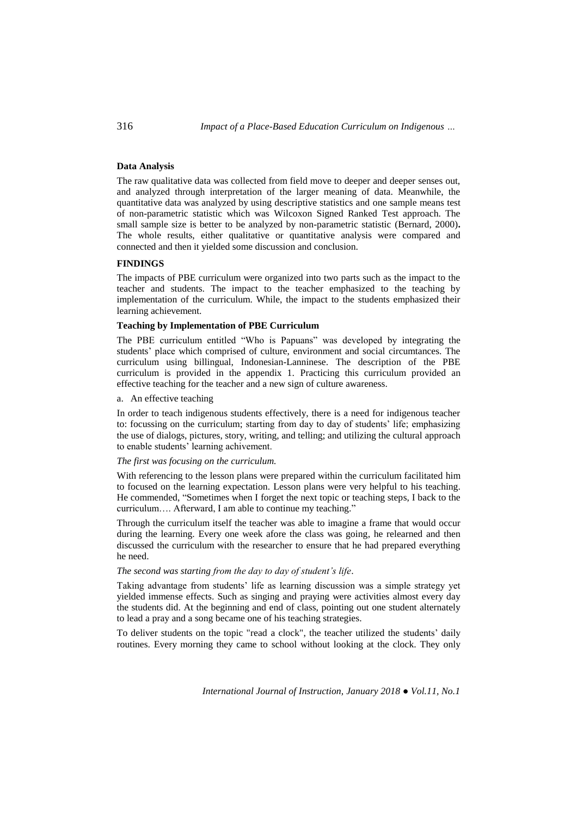## **Data Analysis**

The raw qualitative data was collected from field move to deeper and deeper senses out, and analyzed through interpretation of the larger meaning of data. Meanwhile, the quantitative data was analyzed by using descriptive statistics and one sample means test of non-parametric statistic which was Wilcoxon Signed Ranked Test approach. The small sample size is better to be analyzed by non-parametric statistic (Bernard, 2000)**.**  The whole results, either qualitative or quantitative analysis were compared and connected and then it yielded some discussion and conclusion.

## **FINDINGS**

The impacts of PBE curriculum were organized into two parts such as the impact to the teacher and students. The impact to the teacher emphasized to the teaching by implementation of the curriculum. While, the impact to the students emphasized their learning achievement.

## **Teaching by Implementation of PBE Curriculum**

The PBE curriculum entitled "Who is Papuans" was developed by integrating the students' place which comprised of culture, environment and social circumtances. The curriculum using billingual, Indonesian-Lanninese. The description of the PBE curriculum is provided in the appendix 1. Practicing this curriculum provided an effective teaching for the teacher and a new sign of culture awareness.

## a. An effective teaching

In order to teach indigenous students effectively, there is a need for indigenous teacher to: focussing on the curriculum; starting from day to day of students' life; emphasizing the use of dialogs, pictures, story, writing, and telling; and utilizing the cultural approach to enable students' learning achivement.

## *The first was focusing on the curriculum.*

With referencing to the lesson plans were prepared within the curriculum facilitated him to focused on the learning expectation. Lesson plans were very helpful to his teaching. He commended, "Sometimes when I forget the next topic or teaching steps, I back to the curriculum…. Afterward, I am able to continue my teaching."

Through the curriculum itself the teacher was able to imagine a frame that would occur during the learning. Every one week afore the class was going, he relearned and then discussed the curriculum with the researcher to ensure that he had prepared everything he need.

## *The second was starting from the day to day of student's life*.

Taking advantage from students' life as learning discussion was a simple strategy yet yielded immense effects. Such as singing and praying were activities almost every day the students did. At the beginning and end of class, pointing out one student alternately to lead a pray and a song became one of his teaching strategies.

To deliver students on the topic "read a clock", the teacher utilized the students' daily routines. Every morning they came to school without looking at the clock. They only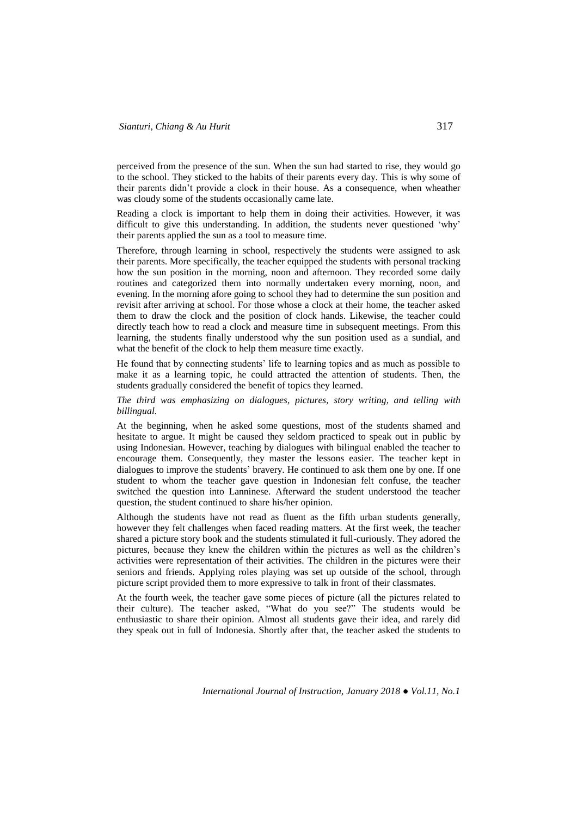perceived from the presence of the sun. When the sun had started to rise, they would go to the school. They sticked to the habits of their parents every day. This is why some of their parents didn't provide a clock in their house. As a consequence, when wheather was cloudy some of the students occasionally came late.

Reading a clock is important to help them in doing their activities. However, it was difficult to give this understanding. In addition, the students never questioned 'why' their parents applied the sun as a tool to measure time.

Therefore, through learning in school, respectively the students were assigned to ask their parents. More specifically, the teacher equipped the students with personal tracking how the sun position in the morning, noon and afternoon. They recorded some daily routines and categorized them into normally undertaken every morning, noon, and evening. In the morning afore going to school they had to determine the sun position and revisit after arriving at school. For those whose a clock at their home, the teacher asked them to draw the clock and the position of clock hands. Likewise, the teacher could directly teach how to read a clock and measure time in subsequent meetings. From this learning, the students finally understood why the sun position used as a sundial, and what the benefit of the clock to help them measure time exactly.

He found that by connecting students' life to learning topics and as much as possible to make it as a learning topic, he could attracted the attention of students. Then, the students gradually considered the benefit of topics they learned.

## *The third was emphasizing on dialogues, pictures, story writing, and telling with billingual.*

At the beginning, when he asked some questions, most of the students shamed and hesitate to argue. It might be caused they seldom practiced to speak out in public by using Indonesian. However, teaching by dialogues with bilingual enabled the teacher to encourage them. Consequently, they master the lessons easier. The teacher kept in dialogues to improve the students' bravery. He continued to ask them one by one. If one student to whom the teacher gave question in Indonesian felt confuse, the teacher switched the question into Lanninese. Afterward the student understood the teacher question, the student continued to share his/her opinion.

Although the students have not read as fluent as the fifth urban students generally, however they felt challenges when faced reading matters. At the first week, the teacher shared a picture story book and the students stimulated it full-curiously. They adored the pictures, because they knew the children within the pictures as well as the children's activities were representation of their activities. The children in the pictures were their seniors and friends. Applying roles playing was set up outside of the school, through picture script provided them to more expressive to talk in front of their classmates.

At the fourth week, the teacher gave some pieces of picture (all the pictures related to their culture). The teacher asked, "What do you see?" The students would be enthusiastic to share their opinion. Almost all students gave their idea, and rarely did they speak out in full of Indonesia. Shortly after that, the teacher asked the students to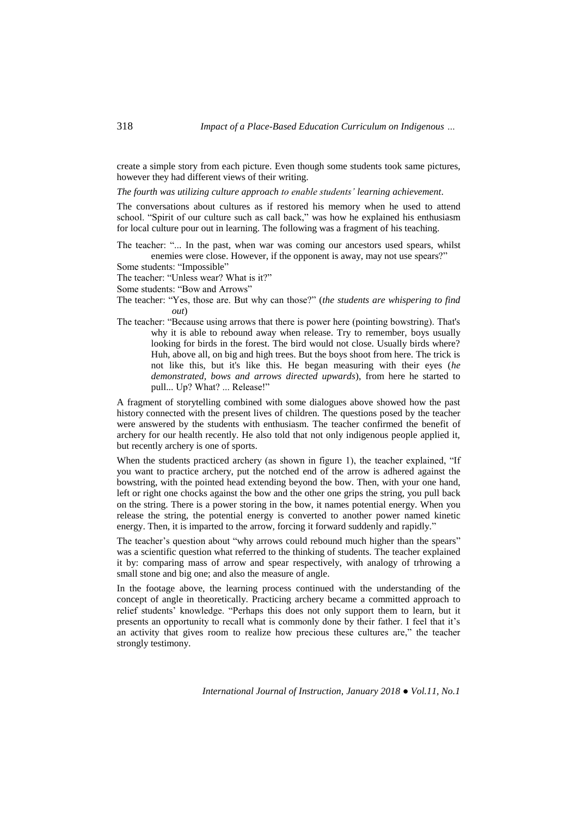create a simple story from each picture. Even though some students took same pictures, however they had different views of their writing.

*The fourth was utilizing culture approach to enable students' learning achievement*.

The conversations about cultures as if restored his memory when he used to attend school. "Spirit of our culture such as call back," was how he explained his enthusiasm for local culture pour out in learning. The following was a fragment of his teaching.

The teacher: "... In the past, when war was coming our ancestors used spears, whilst enemies were close. However, if the opponent is away, may not use spears?"

Some students: "Impossible"

The teacher: "Unless wear? What is it?"

Some students: "Bow and Arrows"

- The teacher: "Yes, those are. But why can those?" (*the students are whispering to find out*)
- The teacher: "Because using arrows that there is power here (pointing bowstring). That's why it is able to rebound away when release. Try to remember, boys usually looking for birds in the forest. The bird would not close. Usually birds where? Huh, above all, on big and high trees. But the boys shoot from here. The trick is not like this, but it's like this. He began measuring with their eyes (*he demonstrated, bows and arrows directed upwards*), from here he started to pull... Up? What? ... Release!"

A fragment of storytelling combined with some dialogues above showed how the past history connected with the present lives of children. The questions posed by the teacher were answered by the students with enthusiasm. The teacher confirmed the benefit of archery for our health recently. He also told that not only indigenous people applied it, but recently archery is one of sports.

When the students practiced archery (as shown in figure 1), the teacher explained, "If you want to practice archery, put the notched end of the arrow is adhered against the bowstring, with the pointed head extending beyond the bow. Then, with your one hand, left or right one chocks against the bow and the other one grips the string, you pull back on the string. There is a power storing in the bow, it names potential energy. When you release the string, the potential energy is converted to another power named kinetic energy. Then, it is imparted to the arrow, forcing it forward suddenly and rapidly."

The teacher's question about "why arrows could rebound much higher than the spears" was a scientific question what referred to the thinking of students. The teacher explained it by: comparing mass of arrow and spear respectively, with analogy of trhrowing a small stone and big one; and also the measure of angle.

In the footage above, the learning process continued with the understanding of the concept of angle in theoretically. Practicing archery became a committed approach to relief students' knowledge. "Perhaps this does not only support them to learn, but it presents an opportunity to recall what is commonly done by their father. I feel that it's an activity that gives room to realize how precious these cultures are," the teacher strongly testimony.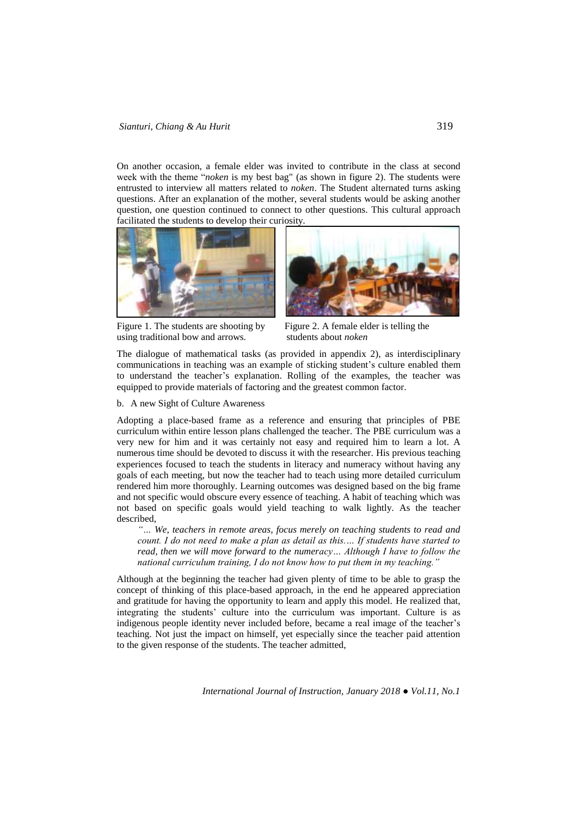On another occasion, a female elder was invited to contribute in the class at second week with the theme "*noken* is my best bag" (as shown in figure 2). The students were entrusted to interview all matters related to *noken*. The Student alternated turns asking questions. After an explanation of the mother, several students would be asking another question, one question continued to connect to other questions. This cultural approach facilitated the students to develop their curiosity.







The dialogue of mathematical tasks (as provided in appendix 2), as interdisciplinary communications in teaching was an example of sticking student's culture enabled them to understand the teacher's explanation. Rolling of the examples, the teacher was equipped to provide materials of factoring and the greatest common factor.

b. A new Sight of Culture Awareness

Adopting a place-based frame as a reference and ensuring that principles of PBE curriculum within entire lesson plans challenged the teacher. The PBE curriculum was a very new for him and it was certainly not easy and required him to learn a lot. A numerous time should be devoted to discuss it with the researcher. His previous teaching experiences focused to teach the students in literacy and numeracy without having any goals of each meeting, but now the teacher had to teach using more detailed curriculum rendered him more thoroughly. Learning outcomes was designed based on the big frame and not specific would obscure every essence of teaching. A habit of teaching which was not based on specific goals would yield teaching to walk lightly. As the teacher described,

*"… We, teachers in remote areas, focus merely on teaching students to read and count. I do not need to make a plan as detail as this.… If students have started to read, then we will move forward to the numeracy... Although I have to follow the national curriculum training, I do not know how to put them in my teaching."* 

Although at the beginning the teacher had given plenty of time to be able to grasp the concept of thinking of this place-based approach, in the end he appeared appreciation and gratitude for having the opportunity to learn and apply this model. He realized that, integrating the students' culture into the curriculum was important. Culture is as indigenous people identity never included before, became a real image of the teacher's teaching. Not just the impact on himself, yet especially since the teacher paid attention to the given response of the students. The teacher admitted,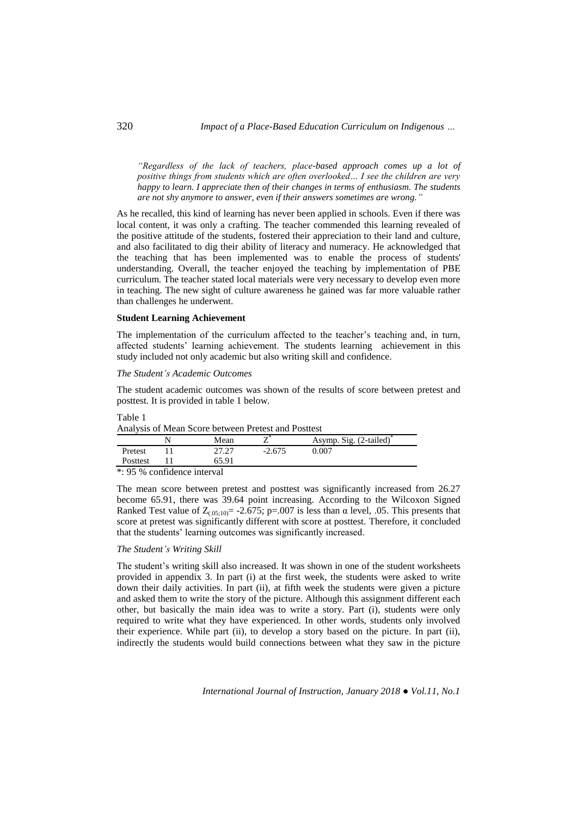*"Regardless of the lack of teachers, place-based approach comes up a lot of positive things from students which are often overlooked… I see the children are very happy to learn. I appreciate then of their changes in terms of enthusiasm. The students are not shy anymore to answer, even if their answers sometimes are wrong."*

As he recalled, this kind of learning has never been applied in schools. Even if there was local content, it was only a crafting. The teacher commended this learning revealed of the positive attitude of the students, fostered their appreciation to their land and culture, and also facilitated to dig their ability of literacy and numeracy. He acknowledged that the teaching that has been implemented was to enable the process of students' understanding. Overall, the teacher enjoyed the teaching by implementation of PBE curriculum. The teacher stated local materials were very necessary to develop even more in teaching. The new sight of culture awareness he gained was far more valuable rather than challenges he underwent.

#### **Student Learning Achievement**

The implementation of the curriculum affected to the teacher's teaching and, in turn, affected students' learning achievement. The students learning achievement in this study included not only academic but also writing skill and confidence.

#### *The Student's Academic Outcomes*

The student academic outcomes was shown of the results of score between pretest and posttest. It is provided in table 1 below.

Table 1 Analysis of Mean Score between Pretest and Posttest N Mean Asymp. Sig. (2-tailed Pretest Posttest 11 11 27.27 65.91 -2.675 0.007

\*: 95 % confidence interval

The mean score between pretest and posttest was significantly increased from 26.27 become 65.91, there was 39.64 point increasing. According to the Wilcoxon Signed Ranked Test value of  $Z_{0.05;10}=2.675$ ; p=.007 is less than  $\alpha$  level, .05. This presents that score at pretest was significantly different with score at posttest. Therefore, it concluded that the students' learning outcomes was significantly increased.

## *The Student's Writing Skill*

The student's writing skill also increased. It was shown in one of the student worksheets provided in appendix 3. In part (i) at the first week, the students were asked to write down their daily activities. In part (ii), at fifth week the students were given a picture and asked them to write the story of the picture. Although this assignment different each other, but basically the main idea was to write a story. Part (i), students were only required to write what they have experienced. In other words, students only involved their experience. While part (ii), to develop a story based on the picture. In part (ii), indirectly the students would build connections between what they saw in the picture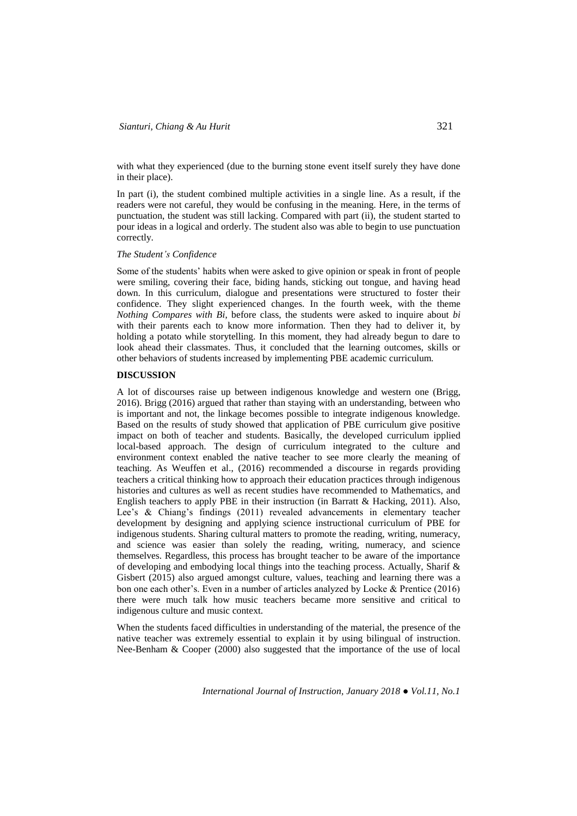with what they experienced (due to the burning stone event itself surely they have done in their place).

In part (i), the student combined multiple activities in a single line. As a result, if the readers were not careful, they would be confusing in the meaning. Here, in the terms of punctuation, the student was still lacking. Compared with part (ii), the student started to pour ideas in a logical and orderly. The student also was able to begin to use punctuation correctly.

## *The Student's Confidence*

Some of the students' habits when were asked to give opinion or speak in front of people were smiling, covering their face, biding hands, sticking out tongue, and having head down. In this curriculum, dialogue and presentations were structured to foster their confidence. They slight experienced changes. In the fourth week, with the theme *Nothing Compares with Bi*, before class, the students were asked to inquire about *bi* with their parents each to know more information. Then they had to deliver it, by holding a potato while storytelling. In this moment, they had already begun to dare to look ahead their classmates. Thus, it concluded that the learning outcomes, skills or other behaviors of students increased by implementing PBE academic curriculum.

## **DISCUSSION**

A lot of discourses raise up between indigenous knowledge and western one (Brigg, 2016). Brigg (2016) argued that rather than staying with an understanding, between who is important and not, the linkage becomes possible to integrate indigenous knowledge. Based on the results of study showed that application of PBE curriculum give positive impact on both of teacher and students. Basically, the developed curriculum ipplied local-based approach. The design of curriculum integrated to the culture and environment context enabled the native teacher to see more clearly the meaning of teaching. As Weuffen et al., (2016) recommended a discourse in regards providing teachers a critical thinking how to approach their education practices through indigenous histories and cultures as well as recent studies have recommended to Mathematics, and English teachers to apply PBE in their instruction (in Barratt  $\&$  Hacking, 2011). Also, Lee's & Chiang's findings (2011) revealed advancements in elementary teacher development by designing and applying science instructional curriculum of PBE for indigenous students. Sharing cultural matters to promote the reading, writing, numeracy, and science was easier than solely the reading, writing, numeracy, and science themselves. Regardless, this process has brought teacher to be aware of the importance of developing and embodying local things into the teaching process. Actually, Sharif & Gisbert (2015) also argued amongst culture, values, teaching and learning there was a bon one each other's. Even in a number of articles analyzed by Locke & Prentice (2016) there were much talk how music teachers became more sensitive and critical to indigenous culture and music context.

When the students faced difficulties in understanding of the material, the presence of the native teacher was extremely essential to explain it by using bilingual of instruction. Nee-Benham & Cooper (2000) also suggested that the importance of the use of local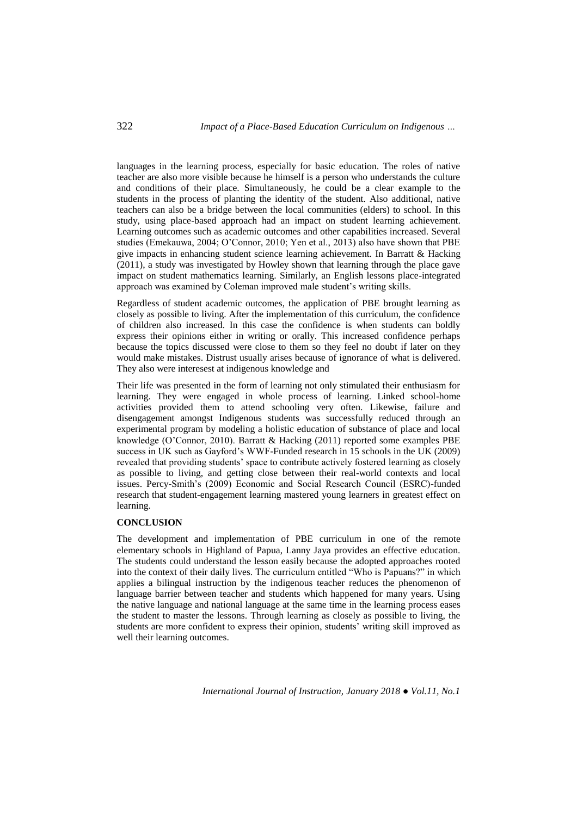languages in the learning process, especially for basic education. The roles of native teacher are also more visible because he himself is a person who understands the culture and conditions of their place. Simultaneously, he could be a clear example to the students in the process of planting the identity of the student. Also additional, native teachers can also be a bridge between the local communities (elders) to school. In this study, using place-based approach had an impact on student learning achievement. Learning outcomes such as academic outcomes and other capabilities increased. Several studies (Emekauwa, 2004; O'Connor, 2010; Yen et al., 2013) also have shown that PBE give impacts in enhancing student science learning achievement. In Barratt & Hacking (2011), a study was investigated by Howley shown that learning through the place gave impact on student mathematics learning. Similarly, an English lessons place-integrated approach was examined by Coleman improved male student's writing skills.

Regardless of student academic outcomes, the application of PBE brought learning as closely as possible to living. After the implementation of this curriculum, the confidence of children also increased. In this case the confidence is when students can boldly express their opinions either in writing or orally. This increased confidence perhaps because the topics discussed were close to them so they feel no doubt if later on they would make mistakes. Distrust usually arises because of ignorance of what is delivered. They also were interesest at indigenous knowledge and

Their life was presented in the form of learning not only stimulated their enthusiasm for learning. They were engaged in whole process of learning. Linked school-home activities provided them to attend schooling very often. Likewise, failure and disengagement amongst Indigenous students was successfully reduced through an experimental program by modeling a holistic education of substance of place and local knowledge (O'Connor, 2010). Barratt & Hacking (2011) reported some examples PBE success in UK such as Gayford's WWF-Funded research in 15 schools in the UK (2009) revealed that providing students' space to contribute actively fostered learning as closely as possible to living, and getting close between their real-world contexts and local issues. Percy-Smith's (2009) Economic and Social Research Council (ESRC)-funded research that student-engagement learning mastered young learners in greatest effect on learning.

#### **CONCLUSION**

The development and implementation of PBE curriculum in one of the remote elementary schools in Highland of Papua, Lanny Jaya provides an effective education. The students could understand the lesson easily because the adopted approaches rooted into the context of their daily lives. The curriculum entitled "Who is Papuans?" in which applies a bilingual instruction by the indigenous teacher reduces the phenomenon of language barrier between teacher and students which happened for many years. Using the native language and national language at the same time in the learning process eases the student to master the lessons. Through learning as closely as possible to living, the students are more confident to express their opinion, students' writing skill improved as well their learning outcomes.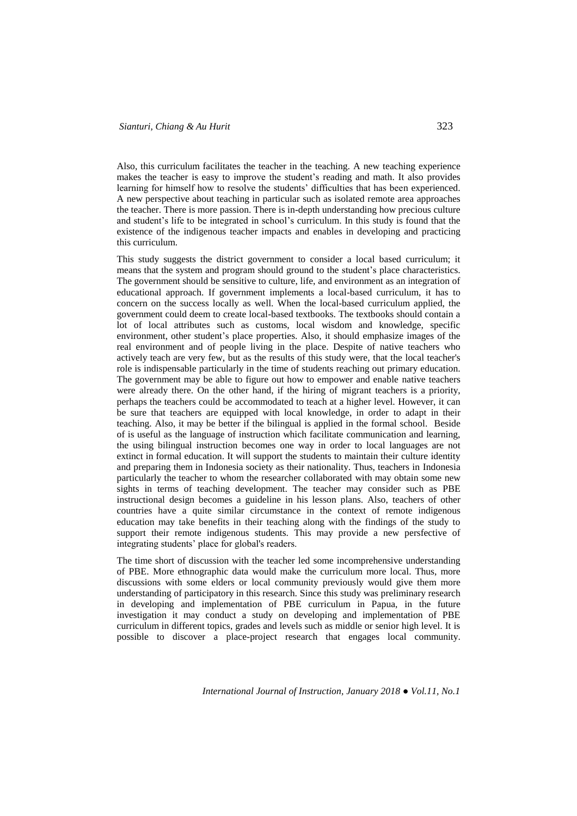Also, this curriculum facilitates the teacher in the teaching. A new teaching experience makes the teacher is easy to improve the student's reading and math. It also provides learning for himself how to resolve the students' difficulties that has been experienced. A new perspective about teaching in particular such as isolated remote area approaches the teacher. There is more passion. There is in-depth understanding how precious culture and student's life to be integrated in school's curriculum. In this study is found that the existence of the indigenous teacher impacts and enables in developing and practicing this curriculum.

This study suggests the district government to consider a local based curriculum; it means that the system and program should ground to the student's place characteristics. The government should be sensitive to culture, life, and environment as an integration of educational approach. If government implements a local-based curriculum, it has to concern on the success locally as well. When the local-based curriculum applied, the government could deem to create local-based textbooks. The textbooks should contain a lot of local attributes such as customs, local wisdom and knowledge, specific environment, other student's place properties. Also, it should emphasize images of the real environment and of people living in the place. Despite of native teachers who actively teach are very few, but as the results of this study were, that the local teacher's role is indispensable particularly in the time of students reaching out primary education. The government may be able to figure out how to empower and enable native teachers were already there. On the other hand, if the hiring of migrant teachers is a priority, perhaps the teachers could be accommodated to teach at a higher level. However, it can be sure that teachers are equipped with local knowledge, in order to adapt in their teaching. Also, it may be better if the bilingual is applied in the formal school. Beside of is useful as the language of instruction which facilitate communication and learning, the using bilingual instruction becomes one way in order to local languages are not extinct in formal education. It will support the students to maintain their culture identity and preparing them in Indonesia society as their nationality. Thus, teachers in Indonesia particularly the teacher to whom the researcher collaborated with may obtain some new sights in terms of teaching development. The teacher may consider such as PBE instructional design becomes a guideline in his lesson plans. Also, teachers of other countries have a quite similar circumstance in the context of remote indigenous education may take benefits in their teaching along with the findings of the study to support their remote indigenous students. This may provide a new persfective of integrating students' place for global's readers.

The time short of discussion with the teacher led some incomprehensive understanding of PBE. More ethnographic data would make the curriculum more local. Thus, more discussions with some elders or local community previously would give them more understanding of participatory in this research. Since this study was preliminary research in developing and implementation of PBE curriculum in Papua, in the future investigation it may conduct a study on developing and implementation of PBE curriculum in different topics, grades and levels such as middle or senior high level. It is possible to discover a place-project research that engages local community.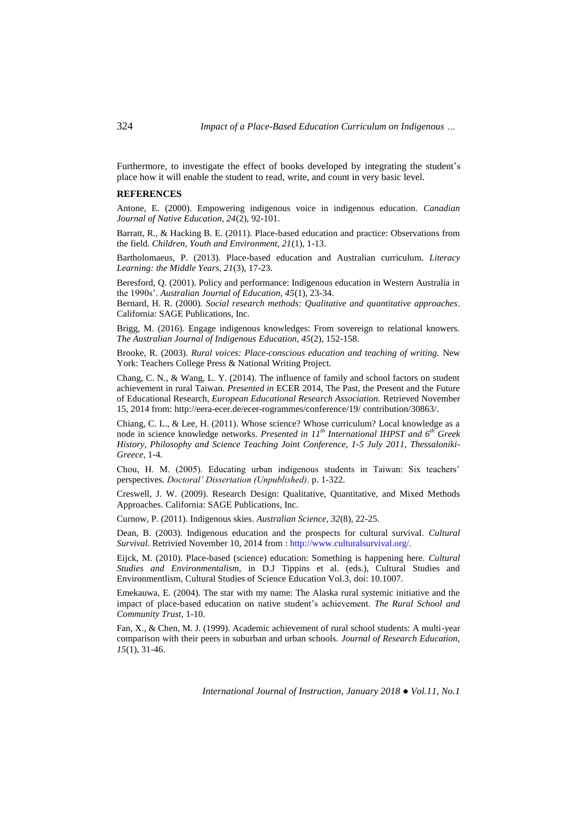Furthermore, to investigate the effect of books developed by integrating the student's place how it will enable the student to read, write, and count in very basic level.

#### **REFERENCES**

Antone, E. (2000). Empowering indigenous voice in indigenous education. *Canadian Journal of Native Education, 24*(2), 92-101.

Barratt, R., & Hacking B. E. (2011). Place-based education and practice: Observations from the field. *Children, Youth and Environment, 21*(1), 1-13.

Bartholomaeus, P. (2013). Place-based education and Australian curriculum. *Literacy Learning: the Middle Years, 21*(3), 17-23.

Beresford, Q. (2001). Policy and performance: Indigenous education in Western Australia in the 1990s'. *Australian Journal of Education, 45*(1), 23-34.

Bernard, H. R. (2000). *Social research methods: Qualitative and quantitative approaches*. California: SAGE Publications, Inc.

Brigg, M. (2016). Engage indigenous knowledges: From sovereign to relational knowers. *The Australian Journal of Indigenous Education, 45*(2), 152-158.

Brooke, R. (2003). *Rural voices: Place-conscious education and teaching of writing.* New York: Teachers College Press & National Writing Project.

Chang, C. N., & Wang, L. Y. (2014). The influence of family and school factors on student achievement in rural Taiwan. *Presented in* ECER 2014, The Past, the Present and the Future of Educational Research, *European Educational Research Association.* Retrieved November 15, 2014 from: [http://eera-ecer.de/ecer-rogrammes/conference/19/](http://www.eera-ecer.de/ecer-rogrammes/conference/19/contribution/30863/) contribution/30863/.

Chiang, C. L., & Lee, H. (2011). Whose science? Whose curriculum? Local knowledge as a node in science knowledge networks. *Presented in 11th International IHPST and 6th Greek History, Philosophy and Science Teaching Joint Conference, 1-5 July 2011, Thessaloniki-Greece,* 1-4*.*

Chou, H. M. (2005). Educating urban indigenous students in Taiwan: Six teachers' perspectives. *Doctoral' Dissertation (Unpublished)*. p. 1-322.

Creswell, J. W. (2009). Research Design: Qualitative, Quantitative, and Mixed Methods Approaches. California: SAGE Publications, Inc.

Curnow, P. (2011). Indigenous skies. *Australian Science, 32*(8), 22-25.

Dean, B. (2003). Indigenous education and the prospects for cultural survival. *Cultural Survival.* Retrivied November 10, 2014 from : [http://www.culturalsurvival.org/.](http://www.culturalsurvival.org/)

Eijck, M. (2010). Place-based (science) education: Something is happening here. *Cultural Studies and Environmentalism,* in D.J Tippins et al. (eds.), Cultural Studies and Environmentlism, Cultural Studies of Science Education Vol.3, doi: 10.1007.

Emekauwa, E. (2004). The star with my name: The Alaska rural systemic initiative and the impact of place-based education on native student's achievement. *The Rural School and Community Trust,* 1-10.

Fan, X., & Chen, M. J. (1999). Academic achievement of rural school students: A multi-year comparison with their peers in suburban and urban schools. *Journal of Research Education, 15*(1), 31-46.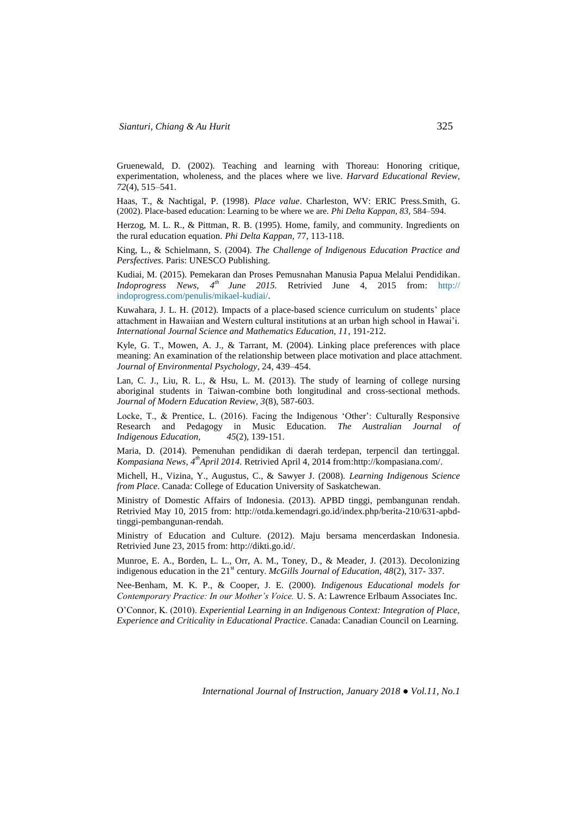Gruenewald, D. (2002). Teaching and learning with Thoreau: Honoring critique, experimentation, wholeness, and the places where we live. *Harvard Educational Review, 72*(4), 515–541.

Haas, T., & Nachtigal, P. (1998). *Place value*. Charleston, WV: ERIC Press.Smith, G. (2002). Place-based education: Learning to be where we are. *Phi Delta Kappan, 83,* 584–594.

Herzog, M. L. R., & Pittman, R. B. (1995). Home, family, and community. Ingredients on the rural education equation. *Phi Delta Kappan,* 77, 113-118.

King, L., & Schielmann, S. (2004). *The Challenge of Indigenous Education Practice and Persfectives.* Paris: UNESCO Publishing.

Kudiai, M. (2015). [Pemekaran dan Proses Pemusnahan Manusia Papua Melalui Pendidikan.](http://indoprogress.com/2015/06/pemekaran-dan-proses-pemusnahan-manusia-papua-melalui-pendidikan/) *Indoprogress News, 4 th June 2015.* Retrivied June 4, 2015 from: [http://](http://indoprogress.com/penulis/mikael-) [indoprogress.com/penulis/mikael-k](http://indoprogress.com/penulis/mikael-)udiai/.

Kuwahara, J. L. H. (2012). Impacts of a place-based science curriculum on students' place attachment in Hawaiian and Western cultural institutions at an urban high school in Hawai'i. *International Journal Science and Mathematics Education, 11*, 191-212.

Kyle, G. T., Mowen, A. J., & Tarrant, M. (2004). Linking place preferences with place meaning: An examination of the relationship between place motivation and place attachment. *Journal of Environmental Psychology*, 24, 439–454.

Lan, C. J., Liu, R. L., & Hsu, L. M. (2013). The study of learning of college nursing aboriginal students in Taiwan-combine both longitudinal and cross-sectional methods. *Journal of Modern Education Review, 3*(8), 587-603.

Locke, T., & Prentice, L. (2016). Facing the Indigenous 'Other': Culturally Responsive Research and Pedagogy in Music Education. *The Australian Journal Indigenous Education, 45*(2), 139-151.

Maria, D. (2014). Pemenuhan pendidikan di daerah terdepan, terpencil dan tertinggal. *Kompasiana News, 4thApril 2014.* Retrivied April 4, 2014 from[:http://kompasiana.com/.](http://www.kompasiana.com/)

Michell, H., Vizina, Y., Augustus, C., & Sawyer J. (2008). *Learning Indigenous Science from Place*. Canada: College of Education University of Saskatchewan.

Ministry of Domestic Affairs of Indonesia. (2013). APBD tinggi, pembangunan rendah. Retrivied May 10, 2015 from: http://otda.kemendagri.go.id/index.php/berita-210/631-apbdtinggi-pembangunan-rendah.

Ministry of Education and Culture. (2012). Maju bersama mencerdaskan Indonesia. Retrivied June 23, 2015 from[: http://dikti.go.id/.](http://dikti.go.id/)

Munroe, E. A., Borden, L. L., Orr, A. M., Toney, D., & Meader, J. (2013). Decolonizing indigenous education in the 21<sup>st</sup> century. *McGills Journal of Education*, 48(2), 317-337.

Nee-Benham, M. K. P., & Cooper, J. E. (2000). *Indigenous Educational models for Contemporary Practice: In our Mother's Voice.* U. S. A: Lawrence Erlbaum Associates Inc.

O'Connor, K. (2010). *Experiential Learning in an Indigenous Context: Integration of Place, Experience and Criticality in Educational Practice*. Canada: Canadian Council on Learning.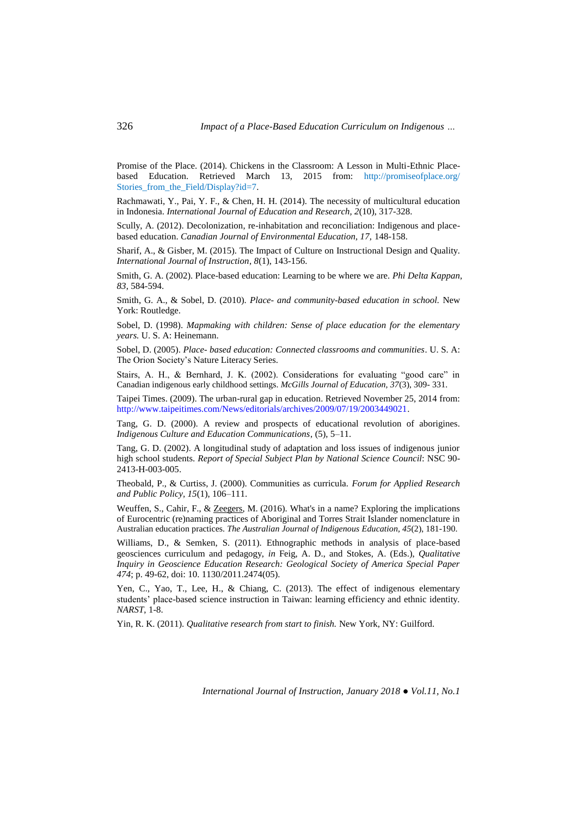Promise of the Place. (2014). Chickens in the Classroom: A Lesson in Multi-Ethnic Placebased Education. Retrieved March 13, 2015 from: [http://promiseofplace.org/](http://www.promiseofplace.org/Stories_from_the_Field/Display?id=7) Stories from the Field/Display?id=7.

Rachmawati, Y., Pai, Y. F., & Chen, H. H. (2014). The necessity of multicultural education in Indonesia. *International Journal of Education and Research, 2*(10), 317-328.

Scully, A. (2012). Decolonization, re-inhabitation and reconciliation: Indigenous and placebased education. *Canadian Journal of Environmental Education, 17,* 148-158.

Sharif, A., & Gisber, M. (2015). The Impact of Culture on Instructional Design and Quality. *International Journal of Instruction*, *8*(1), 143-156.

Smith, G. A. (2002). Place-based education: Learning to be where we are. *Phi Delta Kappan, 83*, 584-594.

Smith, G. A., & Sobel, D. (2010). *Place- and community-based education in school.* New York: Routledge.

Sobel, D. (1998). *Mapmaking with children: Sense of place education for the elementary years.* U. S. A: Heinemann.

Sobel, D. (2005). *Place- based education: Connected classrooms and communities*. U. S. A: The Orion Society's Nature Literacy Series.

Stairs, A. H., & Bernhard, J. K. (2002). Considerations for evaluating "good care" in Canadian indigenous early childhood settings. *McGills Journal of Education, 37*(3), 309- 331.

Taipei Times. (2009). The urban-rural gap in education. Retrieved November 25, 2014 from: [http://www.taipeitimes.com/News/editorials/archives/2009/07/19/2003449021.](http://www.taipeitimes.com/News/editorials/archives/2009/07/19/2003449021)

Tang, G. D. (2000). A review and prospects of educational revolution of aborigines. *Indigenous Culture and Education Communications*, (5), 5–11.

Tang, G. D. (2002). A longitudinal study of adaptation and loss issues of indigenous junior high school students. *Report of Special Subject Plan by National Science Council*: NSC 90- 2413-H-003-005.

Theobald, P., & Curtiss, J. (2000). Communities as curricula. *Forum for Applied Research and Public Policy, 15*(1), 106–111.

Weuffen, [S.,](https://www.cambridge.org/core/search?filters%5BauthorTerms%5D=Sara%20Weuffen&eventCode=SE-AU) [Cahir,](https://www.cambridge.org/core/search?filters%5BauthorTerms%5D=Fred%20Cahir&eventCode=SE-AU) F., & [Zeegers,](https://www.cambridge.org/core/search?filters%5BauthorTerms%5D=Margaret%20Zeegers&eventCode=SE-AU) M. (2016). What's in a name? Exploring the implications of Eurocentric (re)naming practices of Aboriginal and Torres Strait Islander nomenclature in Australian education practices. *The Australian Journal of Indigenous Education, 45*(2), 181-190.

Williams, D., & Semken, S. (2011). Ethnographic methods in analysis of place-based geosciences curriculum and pedagogy, *in* Feig, A. D., and Stokes, A. (Eds.), *Qualitative Inquiry in Geoscience Education Research: Geological Society of America Special Paper 474*; p. 49-62, doi: 10. 1130/2011.2474(05).

Yen, C., Yao, T., Lee, H., & Chiang, C. (2013). The effect of indigenous elementary students' place-based science instruction in Taiwan: learning efficiency and ethnic identity. *NARST*, 1-8.

Yin, R. K. (2011). *Qualitative research from start to finish.* New York, NY: Guilford.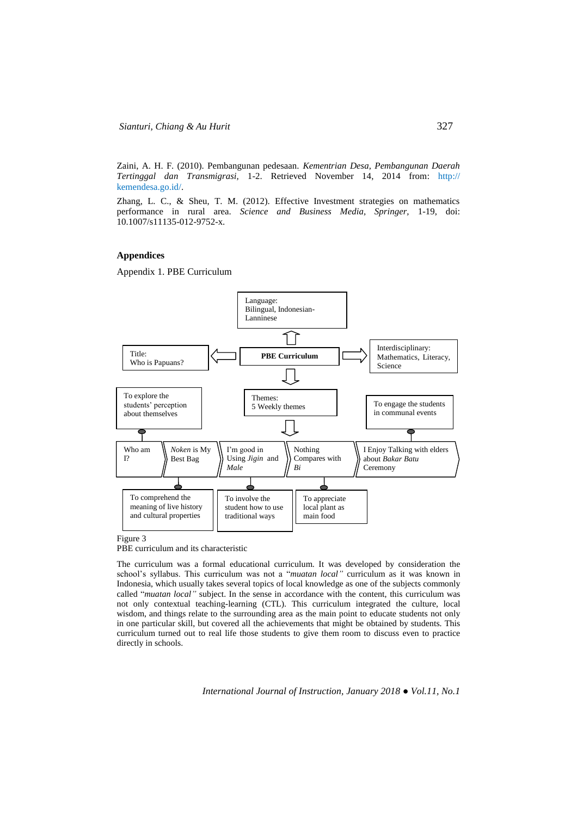Zaini, A. H. F. (2010). Pembangunan pedesaan. *Kementrian Desa, Pembangunan Daerah Tertinggal dan Transmigrasi,* 1-2. Retrieved November 14, 2014 from: http:// [kemendesa.go.id/.](http://www.kemendesa.go.id/uploads/artikel/Pembangunan_Pedesaan.pdf)

Zhang, L. C., & Sheu, T. M. (2012). Effective Investment strategies on mathematics performance in rural area. *Science and Business Media, Springer,* 1-19, doi: 10.1007/s11135-012-9752-x.

## **Appendices**

Appendix 1. PBE Curriculum



#### Figure 3

PBE curriculum and its characteristic

The curriculum was a formal educational curriculum. It was developed by consideration the school's syllabus. This curriculum was not a "*muatan local"* curriculum as it was known in Indonesia, which usually takes several topics of local knowledge as one of the subjects commonly called "*muatan local"* subject. In the sense in accordance with the content, this curriculum was not only contextual teaching-learning (CTL). This curriculum integrated the culture, local wisdom, and things relate to the surrounding area as the main point to educate students not only in one particular skill, but covered all the achievements that might be obtained by students. This curriculum turned out to real life those students to give them room to discuss even to practice directly in schools.